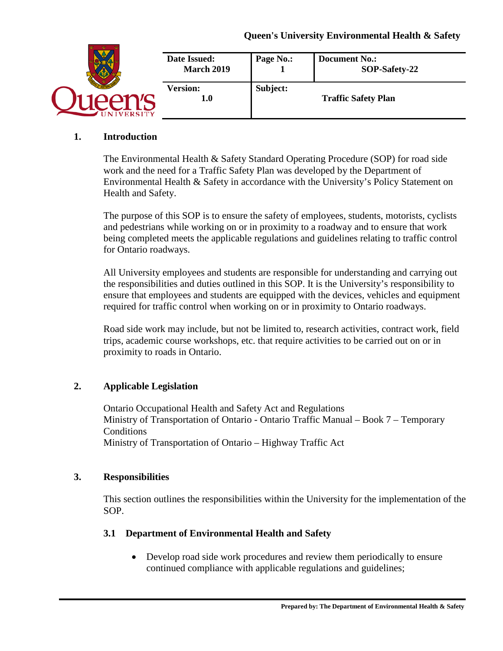## **Queen's University Environmental Health & Safety**

|                | Date Issued:<br><b>March 2019</b> | Page No.: | <b>Document No.:</b><br>SOP-Safety-22 |
|----------------|-----------------------------------|-----------|---------------------------------------|
| <b>VERSITY</b> | <b>Version:</b><br>$1.0\,$        | Subject:  | <b>Traffic Safety Plan</b>            |

### **1. Introduction**

The Environmental Health & Safety Standard Operating Procedure (SOP) for road side work and the need for a Traffic Safety Plan was developed by the Department of Environmental Health & Safety in accordance with the University's Policy Statement on Health and Safety.

The purpose of this SOP is to ensure the safety of employees, students, motorists, cyclists and pedestrians while working on or in proximity to a roadway and to ensure that work being completed meets the applicable regulations and guidelines relating to traffic control for Ontario roadways.

All University employees and students are responsible for understanding and carrying out the responsibilities and duties outlined in this SOP. It is the University's responsibility to ensure that employees and students are equipped with the devices, vehicles and equipment required for traffic control when working on or in proximity to Ontario roadways.

Road side work may include, but not be limited to, research activities, contract work, field trips, academic course workshops, etc. that require activities to be carried out on or in proximity to roads in Ontario.

## **2. Applicable Legislation**

Ontario Occupational Health and Safety Act and Regulations Ministry of Transportation of Ontario - Ontario Traffic Manual – Book 7 – Temporary **Conditions** Ministry of Transportation of Ontario – Highway Traffic Act

### **3. Responsibilities**

This section outlines the responsibilities within the University for the implementation of the SOP.

## **3.1 Department of Environmental Health and Safety**

• Develop road side work procedures and review them periodically to ensure continued compliance with applicable regulations and guidelines;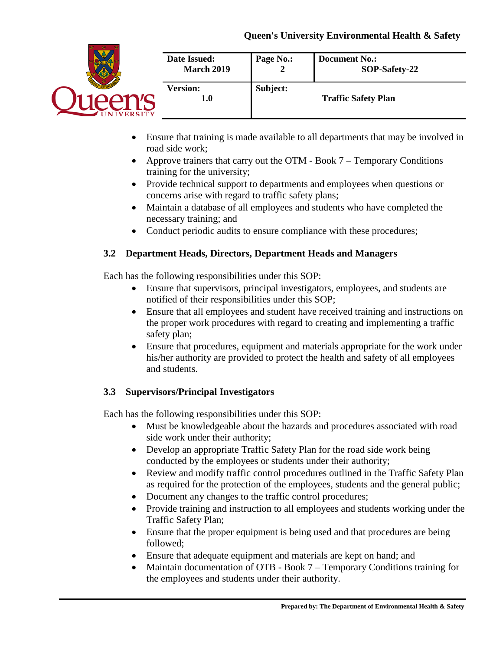## **Queen's University Environmental Health & Safety**



- Ensure that training is made available to all departments that may be involved in road side work;
- Approve trainers that carry out the OTM Book 7 Temporary Conditions training for the university;
- Provide technical support to departments and employees when questions or concerns arise with regard to traffic safety plans;
- Maintain a database of all employees and students who have completed the necessary training; and
- Conduct periodic audits to ensure compliance with these procedures;

# **3.2 Department Heads, Directors, Department Heads and Managers**

Each has the following responsibilities under this SOP:

- Ensure that supervisors, principal investigators, employees, and students are notified of their responsibilities under this SOP;
- Ensure that all employees and student have received training and instructions on the proper work procedures with regard to creating and implementing a traffic safety plan;
- Ensure that procedures, equipment and materials appropriate for the work under his/her authority are provided to protect the health and safety of all employees and students.

# **3.3 Supervisors/Principal Investigators**

Each has the following responsibilities under this SOP:

- Must be knowledgeable about the hazards and procedures associated with road side work under their authority;
- Develop an appropriate Traffic Safety Plan for the road side work being conducted by the employees or students under their authority;
- Review and modify traffic control procedures outlined in the Traffic Safety Plan as required for the protection of the employees, students and the general public;
- Document any changes to the traffic control procedures;
- Provide training and instruction to all employees and students working under the Traffic Safety Plan;
- Ensure that the proper equipment is being used and that procedures are being followed;
- Ensure that adequate equipment and materials are kept on hand; and
- Maintain documentation of OTB Book 7 Temporary Conditions training for the employees and students under their authority.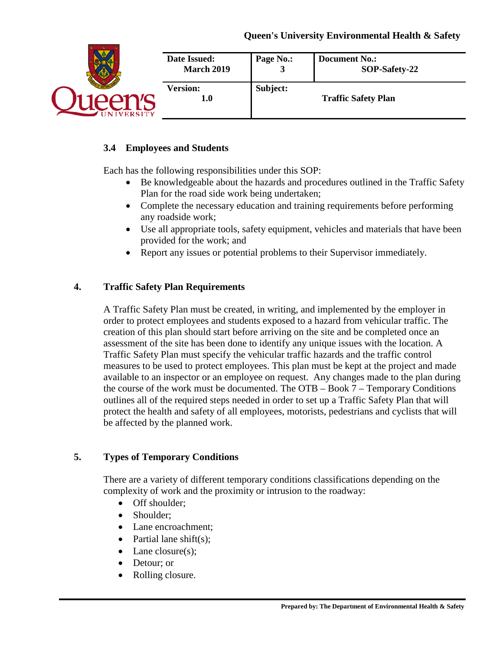|                 | Date Issued:           | Page No.: | <b>Document No.:</b>       |
|-----------------|------------------------|-----------|----------------------------|
|                 | <b>March 2019</b>      | ມ         | SOP-Safety-22              |
| <b>IVERSITY</b> | <b>Version:</b><br>1.0 | Subject:  | <b>Traffic Safety Plan</b> |

# **3.4 Employees and Students**

Each has the following responsibilities under this SOP:

- Be knowledgeable about the hazards and procedures outlined in the Traffic Safety Plan for the road side work being undertaken;
- Complete the necessary education and training requirements before performing any roadside work;
- Use all appropriate tools, safety equipment, vehicles and materials that have been provided for the work; and
- Report any issues or potential problems to their Supervisor immediately.

## **4. Traffic Safety Plan Requirements**

A Traffic Safety Plan must be created, in writing, and implemented by the employer in order to protect employees and students exposed to a hazard from vehicular traffic. The creation of this plan should start before arriving on the site and be completed once an assessment of the site has been done to identify any unique issues with the location. A Traffic Safety Plan must specify the vehicular traffic hazards and the traffic control measures to be used to protect employees. This plan must be kept at the project and made available to an inspector or an employee on request. Any changes made to the plan during the course of the work must be documented. The OTB – Book 7 – Temporary Conditions outlines all of the required steps needed in order to set up a Traffic Safety Plan that will protect the health and safety of all employees, motorists, pedestrians and cyclists that will be affected by the planned work.

## **5. Types of Temporary Conditions**

There are a variety of different temporary conditions classifications depending on the complexity of work and the proximity or intrusion to the roadway:

- Off shoulder:
- Shoulder;
- Lane encroachment:
- Partial lane shift $(s)$ ;
- Lane closure(s):
- Detour; or
- Rolling closure.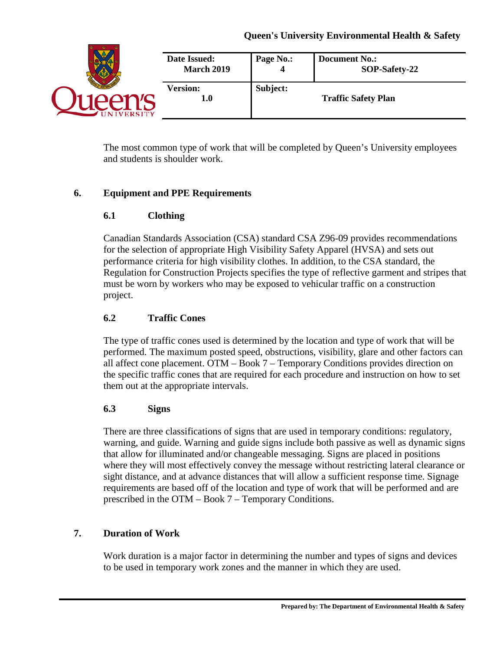|                | Date Issued:<br><b>March 2019</b> | Page No.: | <b>Document No.:</b><br>SOP-Safety-22 |
|----------------|-----------------------------------|-----------|---------------------------------------|
| <b>VERSITY</b> | <b>Version:</b><br>$1.0\,$        | Subject:  | <b>Traffic Safety Plan</b>            |

The most common type of work that will be completed by Queen's University employees and students is shoulder work.

# **6. Equipment and PPE Requirements**

# **6.1 Clothing**

Canadian Standards Association (CSA) standard CSA Z96-09 provides recommendations for the selection of appropriate High Visibility Safety Apparel (HVSA) and sets out performance criteria for high visibility clothes. In addition, to the CSA standard, the Regulation for Construction Projects specifies the type of reflective garment and stripes that must be worn by workers who may be exposed to vehicular traffic on a construction project.

# **6.2 Traffic Cones**

The type of traffic cones used is determined by the location and type of work that will be performed. The maximum posted speed, obstructions, visibility, glare and other factors can all affect cone placement. OTM – Book 7 – Temporary Conditions provides direction on the specific traffic cones that are required for each procedure and instruction on how to set them out at the appropriate intervals.

# **6.3 Signs**

There are three classifications of signs that are used in temporary conditions: regulatory, warning, and guide. Warning and guide signs include both passive as well as dynamic signs that allow for illuminated and/or changeable messaging. Signs are placed in positions where they will most effectively convey the message without restricting lateral clearance or sight distance, and at advance distances that will allow a sufficient response time. Signage requirements are based off of the location and type of work that will be performed and are prescribed in the OTM – Book 7 – Temporary Conditions.

# **7. Duration of Work**

Work duration is a major factor in determining the number and types of signs and devices to be used in temporary work zones and the manner in which they are used.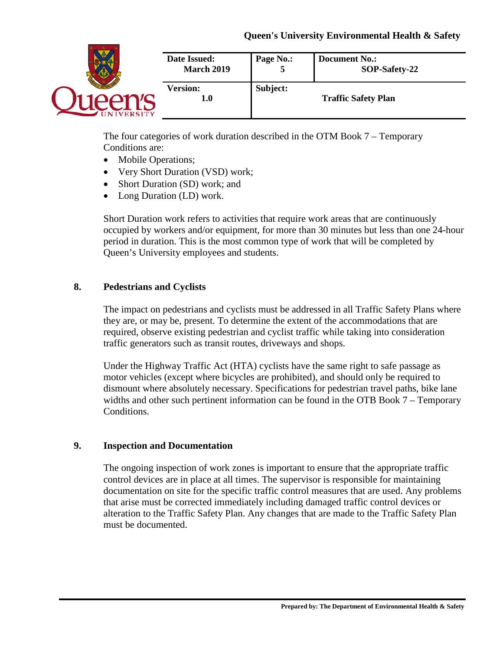|                | Date Issued:<br><b>March 2019</b> | Page No.: | <b>Document No.:</b><br>SOP-Safety-22 |
|----------------|-----------------------------------|-----------|---------------------------------------|
| <b>VERSITY</b> | <b>Version:</b><br>$1.0\,$        | Subject:  | <b>Traffic Safety Plan</b>            |

The four categories of work duration described in the OTM Book 7 – Temporary Conditions are:

- Mobile Operations;
- Very Short Duration (VSD) work;
- Short Duration (SD) work; and
- Long Duration (LD) work.

Short Duration work refers to activities that require work areas that are continuously occupied by workers and/or equipment, for more than 30 minutes but less than one 24-hour period in duration. This is the most common type of work that will be completed by Queen's University employees and students.

## **8. Pedestrians and Cyclists**

The impact on pedestrians and cyclists must be addressed in all Traffic Safety Plans where they are, or may be, present. To determine the extent of the accommodations that are required, observe existing pedestrian and cyclist traffic while taking into consideration traffic generators such as transit routes, driveways and shops.

Under the Highway Traffic Act (HTA) cyclists have the same right to safe passage as motor vehicles (except where bicycles are prohibited), and should only be required to dismount where absolutely necessary. Specifications for pedestrian travel paths, bike lane widths and other such pertinent information can be found in the OTB Book 7 – Temporary Conditions.

## **9. Inspection and Documentation**

The ongoing inspection of work zones is important to ensure that the appropriate traffic control devices are in place at all times. The supervisor is responsible for maintaining documentation on site for the specific traffic control measures that are used. Any problems that arise must be corrected immediately including damaged traffic control devices or alteration to the Traffic Safety Plan. Any changes that are made to the Traffic Safety Plan must be documented.